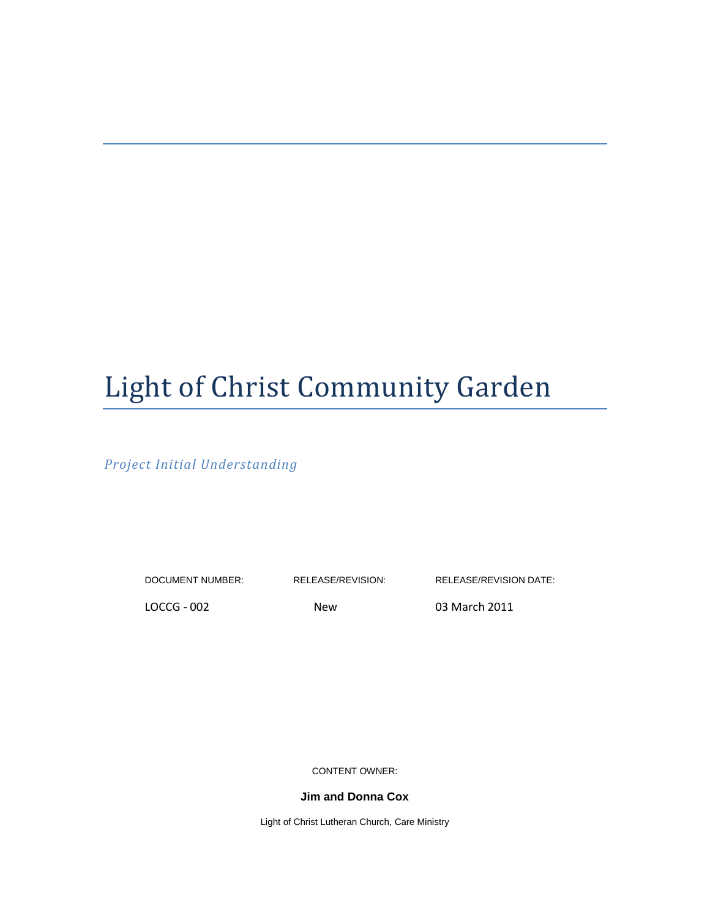# Light of Christ Community Garden

*Project Initial Understanding*

DOCUMENT NUMBER: RELEASE/REVISION: RELEASE/REVISION DATE:

LOCCG - 002 New 03 March 2011

CONTENT OWNER:

**Jim and Donna Cox**

Light of Christ Lutheran Church, Care Ministry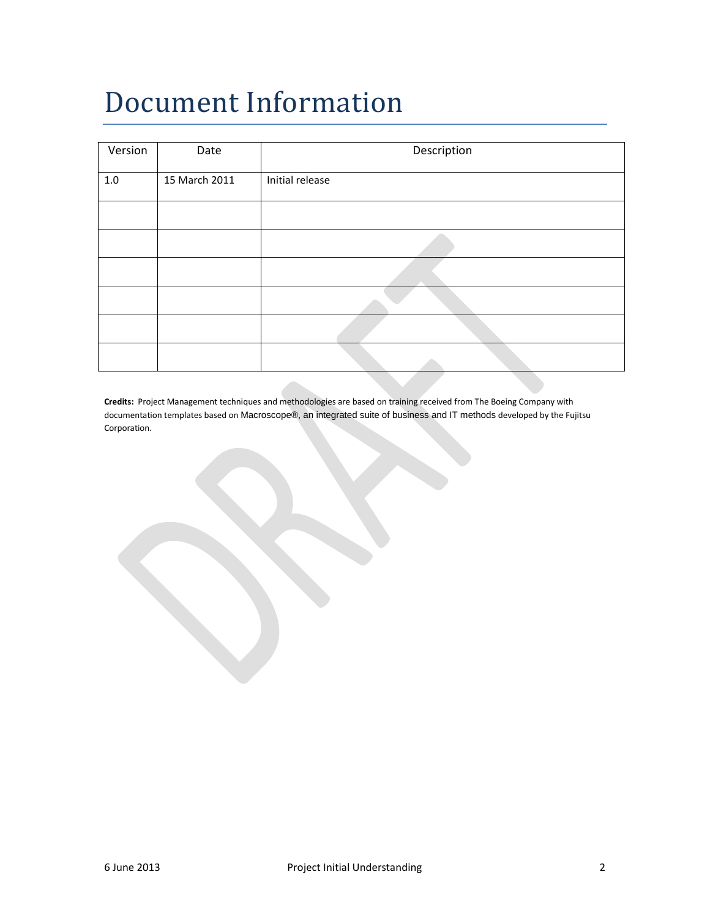## Document Information

| Version | Date          | Description     |
|---------|---------------|-----------------|
|         |               |                 |
| $1.0\,$ | 15 March 2011 | Initial release |
|         |               |                 |
|         |               |                 |
|         |               |                 |
|         |               |                 |
|         |               |                 |
|         |               |                 |
|         |               |                 |
|         |               |                 |
|         |               |                 |
|         |               |                 |
|         |               |                 |
|         |               |                 |
|         |               |                 |

**Credits:** Project Management techniques and methodologies are based on training received from The Boeing Company with documentation templates based on Macroscope®, an integrated suite of business and IT methods developed by the Fujitsu Corporation.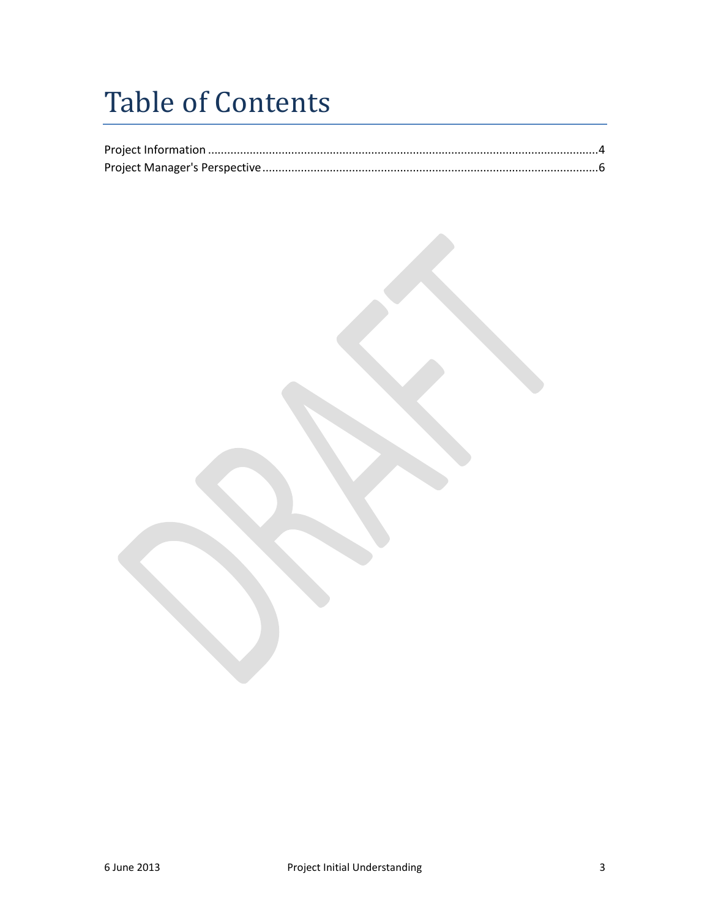### Table of Contents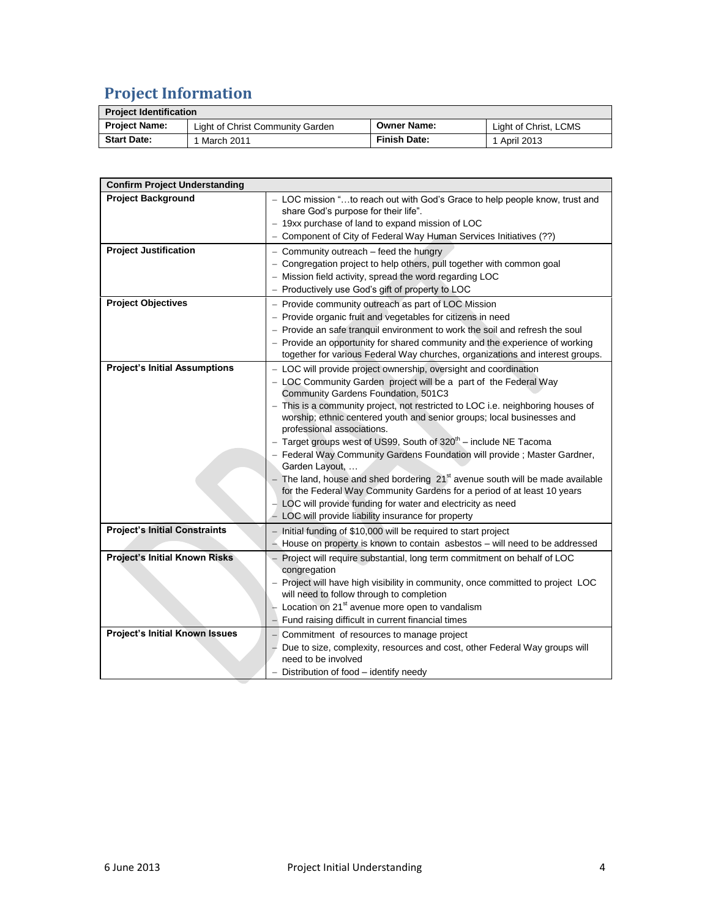### **Project Information**

| <b>Project Identification</b> |                                  |                     |                       |
|-------------------------------|----------------------------------|---------------------|-----------------------|
| <b>Project Name:</b>          | Light of Christ Community Garden | <b>Owner Name:</b>  | Light of Christ, LCMS |
| <b>Start Date:</b>            | March 2011                       | <b>Finish Date:</b> | 1 April 2013          |

| <b>Confirm Project Understanding</b> |                                                                                                                                                                                                                                                                                                                                                                                                                                                                                                                                                                                                                                                                                                                                                                                                                                         |
|--------------------------------------|-----------------------------------------------------------------------------------------------------------------------------------------------------------------------------------------------------------------------------------------------------------------------------------------------------------------------------------------------------------------------------------------------------------------------------------------------------------------------------------------------------------------------------------------------------------------------------------------------------------------------------------------------------------------------------------------------------------------------------------------------------------------------------------------------------------------------------------------|
| <b>Project Background</b>            | - LOC mission "to reach out with God's Grace to help people know, trust and<br>share God's purpose for their life".<br>- 19xx purchase of land to expand mission of LOC<br>Component of City of Federal Way Human Services Initiatives (??)                                                                                                                                                                                                                                                                                                                                                                                                                                                                                                                                                                                             |
| <b>Project Justification</b>         | - Community outreach - feed the hungry<br>- Congregation project to help others, pull together with common goal<br>Mission field activity, spread the word regarding LOC<br>Productively use God's gift of property to LOC                                                                                                                                                                                                                                                                                                                                                                                                                                                                                                                                                                                                              |
| <b>Project Objectives</b>            | - Provide community outreach as part of LOC Mission<br>- Provide organic fruit and vegetables for citizens in need<br>- Provide an safe tranquil environment to work the soil and refresh the soul<br>- Provide an opportunity for shared community and the experience of working<br>together for various Federal Way churches, organizations and interest groups.                                                                                                                                                                                                                                                                                                                                                                                                                                                                      |
| <b>Project's Initial Assumptions</b> | - LOC will provide project ownership, oversight and coordination<br>- LOC Community Garden project will be a part of the Federal Way<br>Community Gardens Foundation, 501C3<br>- This is a community project, not restricted to LOC i.e. neighboring houses of<br>worship; ethnic centered youth and senior groups; local businesses and<br>professional associations.<br>- Target groups west of US99, South of 320 <sup>th</sup> - include NE Tacoma<br>- Federal Way Community Gardens Foundation will provide; Master Gardner,<br>Garden Layout,<br>- The land, house and shed bordering $21st$ avenue south will be made available<br>for the Federal Way Community Gardens for a period of at least 10 years<br>LOC will provide funding for water and electricity as need<br>- LOC will provide liability insurance for property |
| <b>Project's Initial Constraints</b> | - Initial funding of \$10,000 will be required to start project<br>$-$ House on property is known to contain asbestos $-$ will need to be addressed                                                                                                                                                                                                                                                                                                                                                                                                                                                                                                                                                                                                                                                                                     |
| <b>Project's Initial Known Risks</b> | Project will require substantial, long term commitment on behalf of LOC<br>congregation<br>- Project will have high visibility in community, once committed to project LOC<br>will need to follow through to completion<br>Location on 21 <sup>st</sup> avenue more open to vandalism<br>Fund raising difficult in current financial times                                                                                                                                                                                                                                                                                                                                                                                                                                                                                              |
| Project's Initial Known Issues       | Commitment of resources to manage project<br>Due to size, complexity, resources and cost, other Federal Way groups will<br>need to be involved<br>Distribution of food – identify needy                                                                                                                                                                                                                                                                                                                                                                                                                                                                                                                                                                                                                                                 |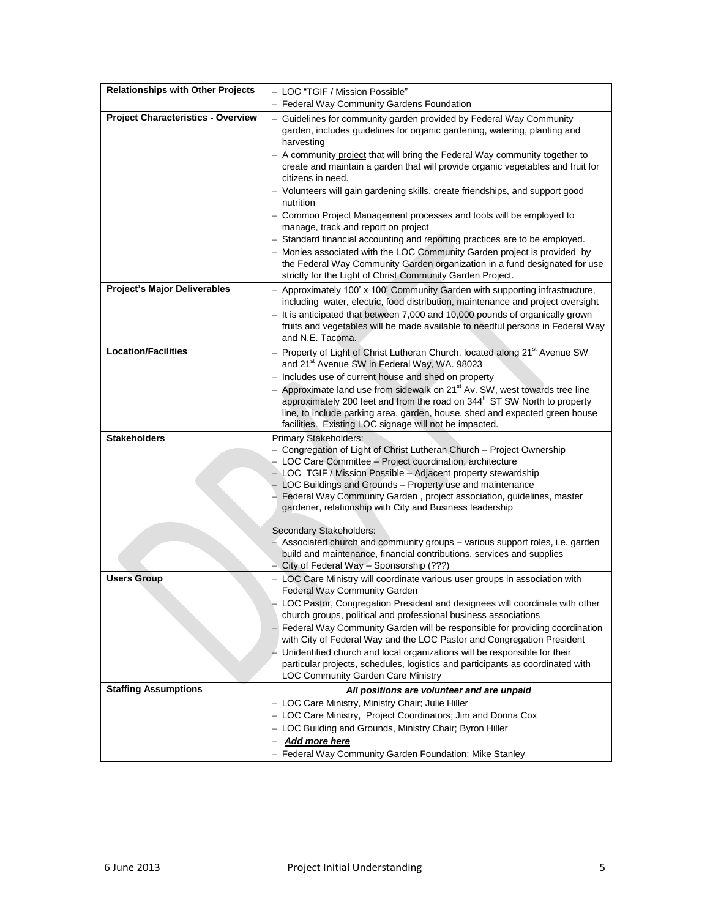| <b>Relationships with Other Projects</b>  | - LOC "TGIF / Mission Possible"                                                                                                                                                                                                                                                                                                                                                                                                                                                                                                                                                                                                                                                                                                                                                                                                                                        |
|-------------------------------------------|------------------------------------------------------------------------------------------------------------------------------------------------------------------------------------------------------------------------------------------------------------------------------------------------------------------------------------------------------------------------------------------------------------------------------------------------------------------------------------------------------------------------------------------------------------------------------------------------------------------------------------------------------------------------------------------------------------------------------------------------------------------------------------------------------------------------------------------------------------------------|
|                                           | Federal Way Community Gardens Foundation                                                                                                                                                                                                                                                                                                                                                                                                                                                                                                                                                                                                                                                                                                                                                                                                                               |
| <b>Project Characteristics - Overview</b> | Guidelines for community garden provided by Federal Way Community<br>garden, includes guidelines for organic gardening, watering, planting and<br>harvesting<br>- A community project that will bring the Federal Way community together to<br>create and maintain a garden that will provide organic vegetables and fruit for<br>citizens in need.<br>- Volunteers will gain gardening skills, create friendships, and support good<br>nutrition<br>- Common Project Management processes and tools will be employed to<br>manage, track and report on project<br>- Standard financial accounting and reporting practices are to be employed.<br>- Monies associated with the LOC Community Garden project is provided by<br>the Federal Way Community Garden organization in a fund designated for use<br>strictly for the Light of Christ Community Garden Project. |
| <b>Project's Major Deliverables</b>       | - Approximately 100' x 100' Community Garden with supporting infrastructure,<br>including water, electric, food distribution, maintenance and project oversight<br>- It is anticipated that between 7,000 and 10,000 pounds of organically grown<br>fruits and vegetables will be made available to needful persons in Federal Way<br>and N.E. Tacoma.                                                                                                                                                                                                                                                                                                                                                                                                                                                                                                                 |
| <b>Location/Facilities</b>                | - Property of Light of Christ Lutheran Church, located along 21 <sup>st</sup> Avenue SW<br>and 21 <sup>st</sup> Avenue SW in Federal Way, WA. 98023<br>- Includes use of current house and shed on property<br>- Approximate land use from sidewalk on 21 <sup>st</sup> Av. SW, west towards tree line<br>approximately 200 feet and from the road on 344 <sup>th</sup> ST SW North to property<br>line, to include parking area, garden, house, shed and expected green house<br>facilities. Existing LOC signage will not be impacted.                                                                                                                                                                                                                                                                                                                               |
| <b>Stakeholders</b>                       | Primary Stakeholders:<br>- Congregation of Light of Christ Lutheran Church - Project Ownership<br>- LOC Care Committee - Project coordination, architecture<br>- LOC TGIF / Mission Possible - Adjacent property stewardship<br>- LOC Buildings and Grounds - Property use and maintenance<br>Federal Way Community Garden, project association, guidelines, master<br>gardener, relationship with City and Business leadership<br>Secondary Stakeholders:<br>- Associated church and community groups - various support roles, i.e. garden                                                                                                                                                                                                                                                                                                                            |
|                                           | build and maintenance, financial contributions, services and supplies<br>City of Federal Way - Sponsorship (???)                                                                                                                                                                                                                                                                                                                                                                                                                                                                                                                                                                                                                                                                                                                                                       |
| <b>Users Group</b>                        | - LOC Care Ministry will coordinate various user groups in association with<br>Federal Way Community Garden<br>LOC Pastor, Congregation President and designees will coordinate with other<br>church groups, political and professional business associations<br>- Federal Way Community Garden will be responsible for providing coordination<br>with City of Federal Way and the LOC Pastor and Congregation President<br>Unidentified church and local organizations will be responsible for their<br>particular projects, schedules, logistics and participants as coordinated with<br><b>LOC Community Garden Care Ministry</b>                                                                                                                                                                                                                                   |
| <b>Staffing Assumptions</b>               | All positions are volunteer and are unpaid<br>- LOC Care Ministry, Ministry Chair; Julie Hiller<br>- LOC Care Ministry, Project Coordinators; Jim and Donna Cox<br>- LOC Building and Grounds, Ministry Chair; Byron Hiller<br>Add more here<br>Federal Way Community Garden Foundation; Mike Stanley                                                                                                                                                                                                                                                                                                                                                                                                                                                                                                                                                                  |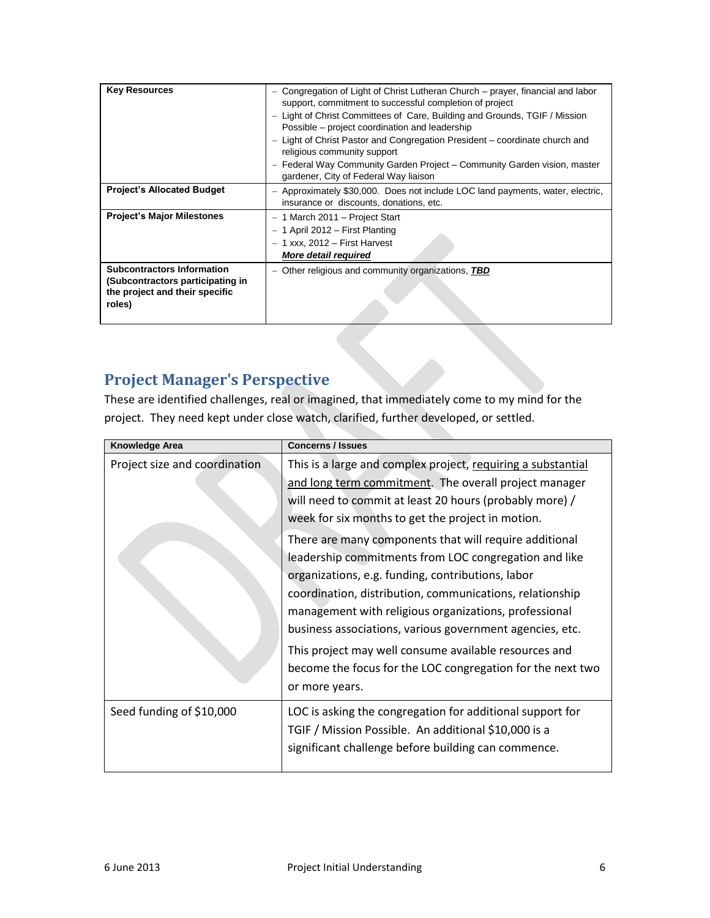| <b>Key Resources</b>                                                                                              | - Congregation of Light of Christ Lutheran Church – prayer, financial and labor<br>support, commitment to successful completion of project<br>Light of Christ Committees of Care, Building and Grounds, TGIF / Mission<br>$\qquad \qquad -$<br>Possible – project coordination and leadership<br>- Light of Christ Pastor and Congregation President - coordinate church and<br>religious community support<br>- Federal Way Community Garden Project - Community Garden vision, master<br>gardener, City of Federal Way liaison |
|-------------------------------------------------------------------------------------------------------------------|----------------------------------------------------------------------------------------------------------------------------------------------------------------------------------------------------------------------------------------------------------------------------------------------------------------------------------------------------------------------------------------------------------------------------------------------------------------------------------------------------------------------------------|
| <b>Project's Allocated Budget</b>                                                                                 | - Approximately \$30,000. Does not include LOC land payments, water, electric,<br>insurance or discounts, donations, etc.                                                                                                                                                                                                                                                                                                                                                                                                        |
| <b>Project's Major Milestones</b>                                                                                 | $-1$ March 2011 - Project Start<br>$-1$ April 2012 – First Planting<br>$-1$ xxx, 2012 $-$ First Harvest<br><b>More detail required</b>                                                                                                                                                                                                                                                                                                                                                                                           |
| <b>Subcontractors Information</b><br>(Subcontractors participating in<br>the project and their specific<br>roles) | Other religious and community organizations, TBD<br>$\overline{\phantom{0}}$                                                                                                                                                                                                                                                                                                                                                                                                                                                     |

#### **Project Manager's Perspective**

These are identified challenges, real or imagined, that immediately come to my mind for the project. They need kept under close watch, clarified, further developed, or settled.

| Knowledge Area                | <b>Concerns / Issues</b>                                                                                                                                                                                                                                                                                                                                                                                                                                                     |
|-------------------------------|------------------------------------------------------------------------------------------------------------------------------------------------------------------------------------------------------------------------------------------------------------------------------------------------------------------------------------------------------------------------------------------------------------------------------------------------------------------------------|
| Project size and coordination | This is a large and complex project, requiring a substantial<br>and long term commitment. The overall project manager<br>will need to commit at least 20 hours (probably more) /<br>week for six months to get the project in motion.                                                                                                                                                                                                                                        |
|                               | There are many components that will require additional<br>leadership commitments from LOC congregation and like<br>organizations, e.g. funding, contributions, labor<br>coordination, distribution, communications, relationship<br>management with religious organizations, professional<br>business associations, various government agencies, etc.<br>This project may well consume available resources and<br>become the focus for the LOC congregation for the next two |
|                               | or more years.                                                                                                                                                                                                                                                                                                                                                                                                                                                               |
| Seed funding of \$10,000      | LOC is asking the congregation for additional support for<br>TGIF / Mission Possible. An additional \$10,000 is a<br>significant challenge before building can commence.                                                                                                                                                                                                                                                                                                     |